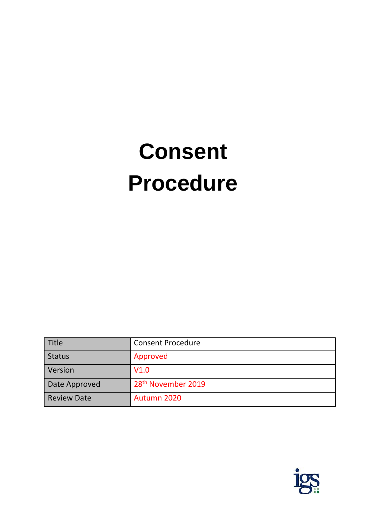# **Consent Procedure**

| Title              | <b>Consent Procedure</b>       |  |
|--------------------|--------------------------------|--|
| <b>Status</b>      | Approved                       |  |
| Version            | V1.0                           |  |
| Date Approved      | 28 <sup>th</sup> November 2019 |  |
| <b>Review Date</b> | Autumn 2020                    |  |

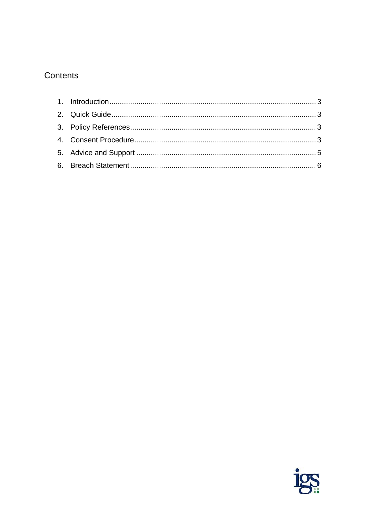# Contents

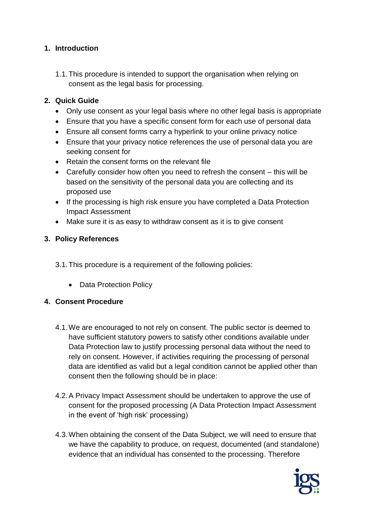### <span id="page-2-0"></span>**1. Introduction**

1.1.This procedure is intended to support the organisation when relying on consent as the legal basis for processing.

#### <span id="page-2-1"></span>**2. Quick Guide**

- Only use consent as your legal basis where no other legal basis is appropriate
- Ensure that you have a specific consent form for each use of personal data
- Ensure all consent forms carry a hyperlink to your online privacy notice
- Ensure that your privacy notice references the use of personal data you are seeking consent for
- Retain the consent forms on the relevant file
- Carefully consider how often you need to refresh the consent this will be based on the sensitivity of the personal data you are collecting and its proposed use
- If the processing is high risk ensure you have completed a Data Protection Impact Assessment
- Make sure it is as easy to withdraw consent as it is to give consent

#### <span id="page-2-2"></span>**3. Policy References**

- 3.1.This procedure is a requirement of the following policies:
	- Data Protection Policy

#### <span id="page-2-3"></span>**4. Consent Procedure**

- 4.1.We are encouraged to not rely on consent. The public sector is deemed to have sufficient statutory powers to satisfy other conditions available under Data Protection law to justify processing personal data without the need to rely on consent. However, if activities requiring the processing of personal data are identified as valid but a legal condition cannot be applied other than consent then the following should be in place:
- 4.2.A Privacy Impact Assessment should be undertaken to approve the use of consent for the proposed processing (A Data Protection Impact Assessment in the event of 'high risk' processing)
- 4.3.When obtaining the consent of the Data Subject, we will need to ensure that we have the capability to produce, on request, documented (and standalone) evidence that an individual has consented to the processing. Therefore

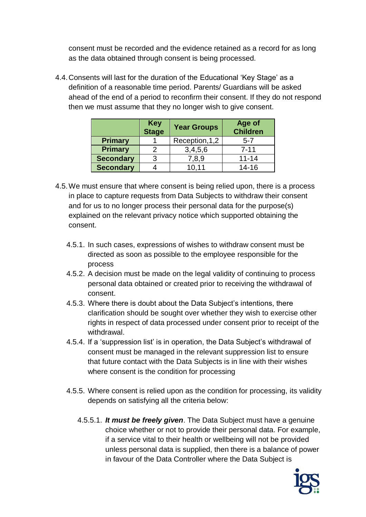consent must be recorded and the evidence retained as a record for as long as the data obtained through consent is being processed.

4.4.Consents will last for the duration of the Educational 'Key Stage' as a definition of a reasonable time period. Parents/ Guardians will be asked ahead of the end of a period to reconfirm their consent. If they do not respond then we must assume that they no longer wish to give consent.

|                  | <b>Key</b><br>Stage | <b>Year Groups</b> | Age of<br><b>Children</b> |
|------------------|---------------------|--------------------|---------------------------|
| <b>Primary</b>   |                     | Reception, 1, 2    | $5 - 7$                   |
| <b>Primary</b>   | 2                   | 3,4,5,6            | $7 - 11$                  |
| <b>Secondary</b> | 3                   | 7,8,9              | $11 - 14$                 |
| <b>Secondary</b> |                     | 10.11              | $14 - 16$                 |

- 4.5.We must ensure that where consent is being relied upon, there is a process in place to capture requests from Data Subjects to withdraw their consent and for us to no longer process their personal data for the purpose(s) explained on the relevant privacy notice which supported obtaining the consent.
	- 4.5.1. In such cases, expressions of wishes to withdraw consent must be directed as soon as possible to the employee responsible for the process
	- 4.5.2. A decision must be made on the legal validity of continuing to process personal data obtained or created prior to receiving the withdrawal of consent.
	- 4.5.3. Where there is doubt about the Data Subject's intentions, there clarification should be sought over whether they wish to exercise other rights in respect of data processed under consent prior to receipt of the withdrawal.
	- 4.5.4. If a 'suppression list' is in operation, the Data Subject's withdrawal of consent must be managed in the relevant suppression list to ensure that future contact with the Data Subjects is in line with their wishes where consent is the condition for processing
	- 4.5.5. Where consent is relied upon as the condition for processing, its validity depends on satisfying all the criteria below:
		- 4.5.5.1. *It must be freely given*. The Data Subject must have a genuine choice whether or not to provide their personal data. For example, if a service vital to their health or wellbeing will not be provided unless personal data is supplied, then there is a balance of power in favour of the Data Controller where the Data Subject is

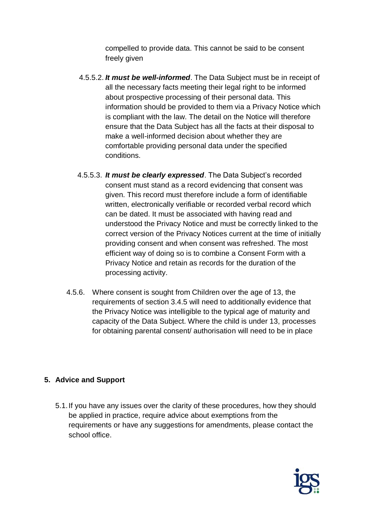compelled to provide data. This cannot be said to be consent freely given

- 4.5.5.2. *It must be well-informed*. The Data Subject must be in receipt of all the necessary facts meeting their legal right to be informed about prospective processing of their personal data. This information should be provided to them via a Privacy Notice which is compliant with the law. The detail on the Notice will therefore ensure that the Data Subject has all the facts at their disposal to make a well-informed decision about whether they are comfortable providing personal data under the specified conditions.
- 4.5.5.3. *It must be clearly expressed*. The Data Subject's recorded consent must stand as a record evidencing that consent was given. This record must therefore include a form of identifiable written, electronically verifiable or recorded verbal record which can be dated. It must be associated with having read and understood the Privacy Notice and must be correctly linked to the correct version of the Privacy Notices current at the time of initially providing consent and when consent was refreshed. The most efficient way of doing so is to combine a Consent Form with a Privacy Notice and retain as records for the duration of the processing activity.
- 4.5.6. Where consent is sought from Children over the age of 13, the requirements of section 3.4.5 will need to additionally evidence that the Privacy Notice was intelligible to the typical age of maturity and capacity of the Data Subject. Where the child is under 13, processes for obtaining parental consent/ authorisation will need to be in place

## <span id="page-4-0"></span>**5. Advice and Support**

5.1.If you have any issues over the clarity of these procedures, how they should be applied in practice, require advice about exemptions from the requirements or have any suggestions for amendments, please contact the school office.